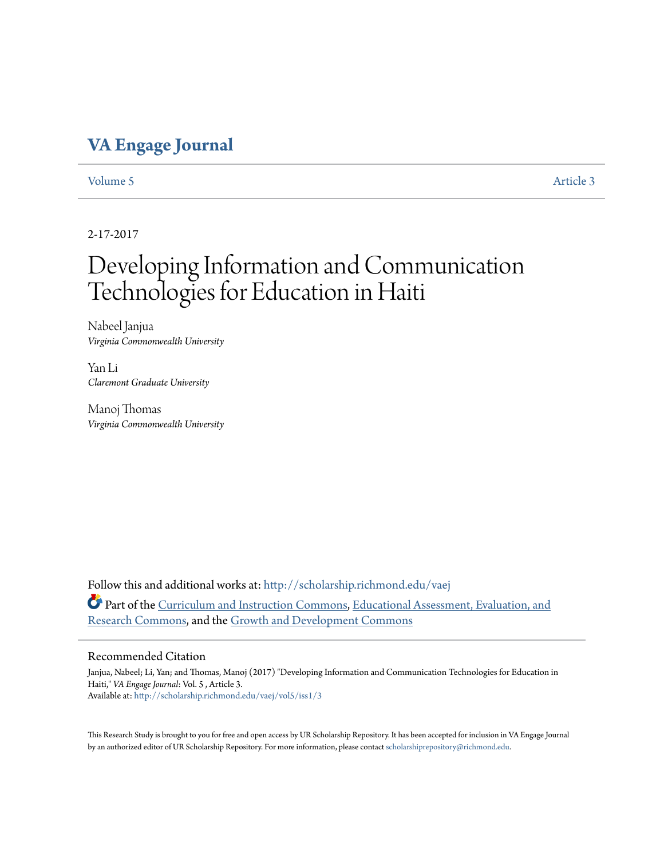## **[VA Engage Journal](http://scholarship.richmond.edu/vaej?utm_source=scholarship.richmond.edu%2Fvaej%2Fvol5%2Fiss1%2F3&utm_medium=PDF&utm_campaign=PDFCoverPages)**

[Volume 5](http://scholarship.richmond.edu/vaej/vol5?utm_source=scholarship.richmond.edu%2Fvaej%2Fvol5%2Fiss1%2F3&utm_medium=PDF&utm_campaign=PDFCoverPages) [Article 3](http://scholarship.richmond.edu/vaej/vol5/iss1/3?utm_source=scholarship.richmond.edu%2Fvaej%2Fvol5%2Fiss1%2F3&utm_medium=PDF&utm_campaign=PDFCoverPages)

2-17-2017

# Developing Information and Communication Technologies for Education in Haiti

Nabeel Janjua *Virginia Commonwealth University*

Yan Li *Claremont Graduate University*

Manoj Thomas *Virginia Commonwealth University*

Follow this and additional works at: [http://scholarship.richmond.edu/vaej](http://scholarship.richmond.edu/vaej?utm_source=scholarship.richmond.edu%2Fvaej%2Fvol5%2Fiss1%2F3&utm_medium=PDF&utm_campaign=PDFCoverPages) Part of the [Curriculum and Instruction Commons](http://network.bepress.com/hgg/discipline/786?utm_source=scholarship.richmond.edu%2Fvaej%2Fvol5%2Fiss1%2F3&utm_medium=PDF&utm_campaign=PDFCoverPages), [Educational Assessment, Evaluation, and](http://network.bepress.com/hgg/discipline/796?utm_source=scholarship.richmond.edu%2Fvaej%2Fvol5%2Fiss1%2F3&utm_medium=PDF&utm_campaign=PDFCoverPages) [Research Commons,](http://network.bepress.com/hgg/discipline/796?utm_source=scholarship.richmond.edu%2Fvaej%2Fvol5%2Fiss1%2F3&utm_medium=PDF&utm_campaign=PDFCoverPages) and the [Growth and Development Commons](http://network.bepress.com/hgg/discipline/346?utm_source=scholarship.richmond.edu%2Fvaej%2Fvol5%2Fiss1%2F3&utm_medium=PDF&utm_campaign=PDFCoverPages)

#### Recommended Citation

Janjua, Nabeel; Li, Yan; and Thomas, Manoj (2017) "Developing Information and Communication Technologies for Education in Haiti," *VA Engage Journal*: Vol. 5 , Article 3. Available at: [http://scholarship.richmond.edu/vaej/vol5/iss1/3](http://scholarship.richmond.edu/vaej/vol5/iss1/3?utm_source=scholarship.richmond.edu%2Fvaej%2Fvol5%2Fiss1%2F3&utm_medium=PDF&utm_campaign=PDFCoverPages)

This Research Study is brought to you for free and open access by UR Scholarship Repository. It has been accepted for inclusion in VA Engage Journal by an authorized editor of UR Scholarship Repository. For more information, please contact [scholarshiprepository@richmond.edu.](mailto:scholarshiprepository@richmond.edu)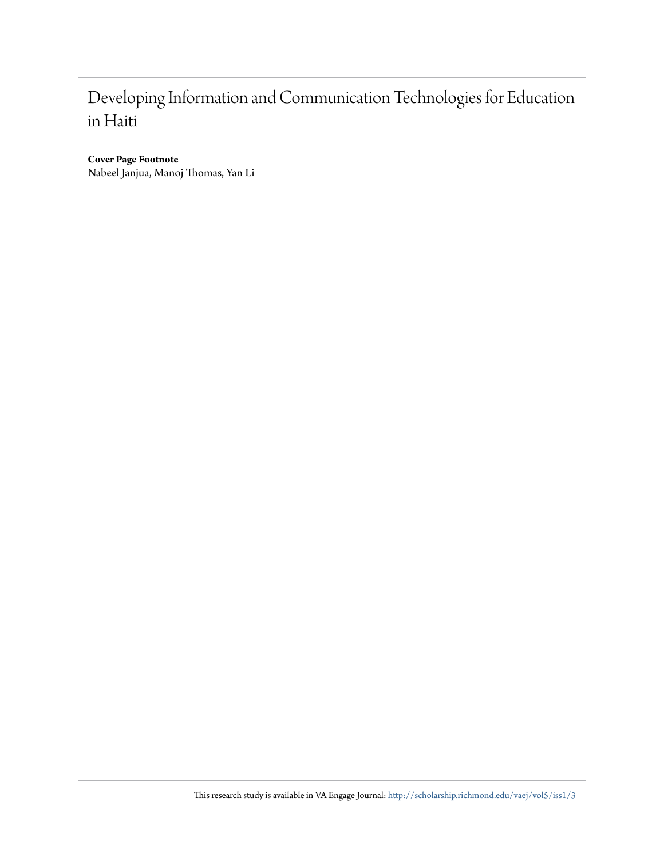## Developing Information and Communication Technologies for Education in Haiti

**Cover Page Footnote** Nabeel Janjua, Manoj Thomas, Yan Li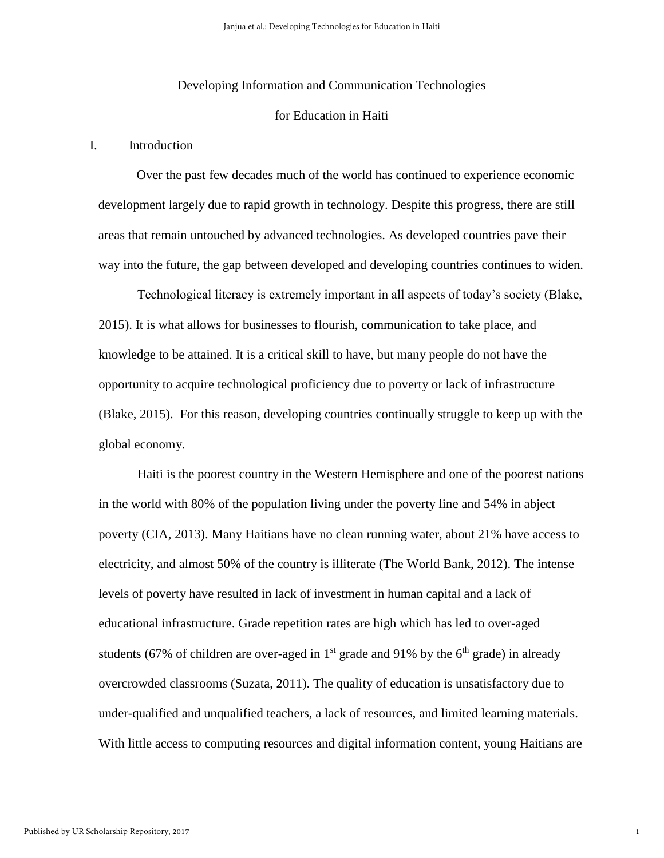#### Developing Information and Communication Technologies

#### for Education in Haiti

### I. Introduction

Over the past few decades much of the world has continued to experience economic development largely due to rapid growth in technology. Despite this progress, there are still areas that remain untouched by advanced technologies. As developed countries pave their way into the future, the gap between developed and developing countries continues to widen.

Technological literacy is extremely important in all aspects of today's society (Blake, 2015). It is what allows for businesses to flourish, communication to take place, and knowledge to be attained. It is a critical skill to have, but many people do not have the opportunity to acquire technological proficiency due to poverty or lack of infrastructure (Blake, 2015). For this reason, developing countries continually struggle to keep up with the global economy.

Haiti is the poorest country in the Western Hemisphere and one of the poorest nations in the world with 80% of the population living under the poverty line and 54% in abject poverty (CIA, 2013). Many Haitians have no clean running water, about 21% have access to electricity, and almost 50% of the country is illiterate (The World Bank, 2012). The intense levels of poverty have resulted in lack of investment in human capital and a lack of educational infrastructure. Grade repetition rates are high which has led to over-aged students (67% of children are over-aged in  $1<sup>st</sup>$  grade and 91% by the 6<sup>th</sup> grade) in already overcrowded classrooms (Suzata, 2011). The quality of education is unsatisfactory due to under-qualified and unqualified teachers, a lack of resources, and limited learning materials. With little access to computing resources and digital information content, young Haitians are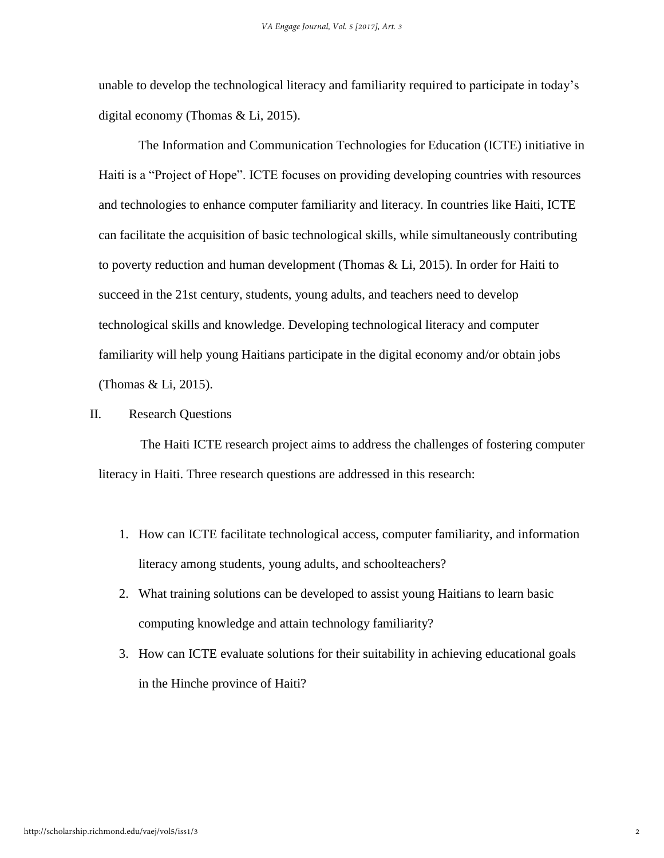unable to develop the technological literacy and familiarity required to participate in today's digital economy (Thomas & Li, 2015).

The Information and Communication Technologies for Education (ICTE) initiative in Haiti is a "Project of Hope". ICTE focuses on providing developing countries with resources and technologies to enhance computer familiarity and literacy. In countries like Haiti, ICTE can facilitate the acquisition of basic technological skills, while simultaneously contributing to poverty reduction and human development (Thomas & Li, 2015). In order for Haiti to succeed in the 21st century, students, young adults, and teachers need to develop technological skills and knowledge. Developing technological literacy and computer familiarity will help young Haitians participate in the digital economy and/or obtain jobs (Thomas & Li, 2015).

#### II. Research Questions

The Haiti ICTE research project aims to address the challenges of fostering computer literacy in Haiti. Three research questions are addressed in this research:

- 1. How can ICTE facilitate technological access, computer familiarity, and information literacy among students, young adults, and schoolteachers?
- 2. What training solutions can be developed to assist young Haitians to learn basic computing knowledge and attain technology familiarity?
- 3. How can ICTE evaluate solutions for their suitability in achieving educational goals in the Hinche province of Haiti?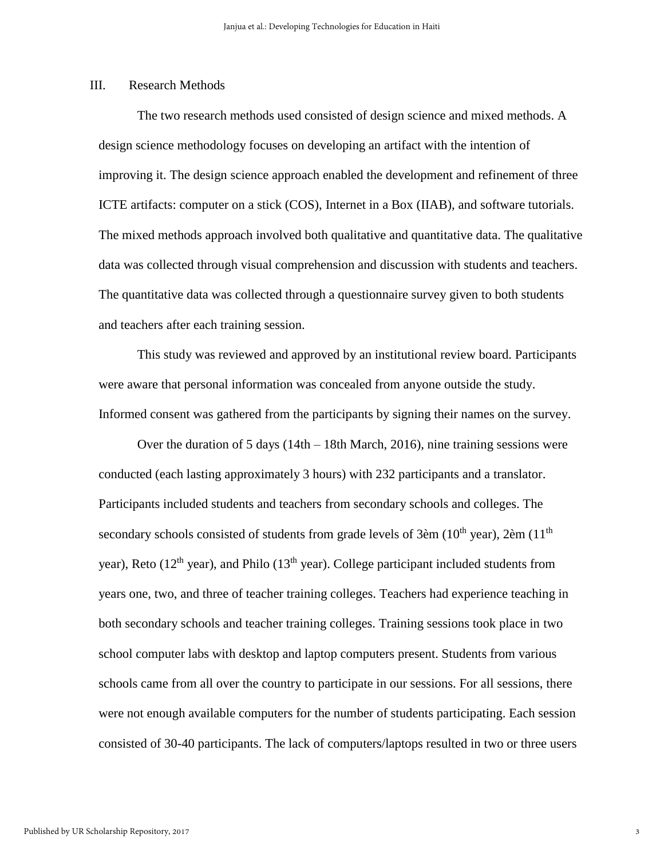#### III. Research Methods

The two research methods used consisted of design science and mixed methods. A design science methodology focuses on developing an artifact with the intention of improving it. The design science approach enabled the development and refinement of three ICTE artifacts: computer on a stick (COS), Internet in a Box (IIAB), and software tutorials. The mixed methods approach involved both qualitative and quantitative data. The qualitative data was collected through visual comprehension and discussion with students and teachers. The quantitative data was collected through a questionnaire survey given to both students and teachers after each training session.

This study was reviewed and approved by an institutional review board. Participants were aware that personal information was concealed from anyone outside the study. Informed consent was gathered from the participants by signing their names on the survey.

Over the duration of 5 days (14th – 18th March, 2016), nine training sessions were conducted (each lasting approximately 3 hours) with 232 participants and a translator. Participants included students and teachers from secondary schools and colleges. The secondary schools consisted of students from grade levels of  $3$ èm (10<sup>th</sup> year),  $2$ èm (11<sup>th</sup> year), Reto ( $12<sup>th</sup>$  year), and Philo ( $13<sup>th</sup>$  year). College participant included students from years one, two, and three of teacher training colleges. Teachers had experience teaching in both secondary schools and teacher training colleges. Training sessions took place in two school computer labs with desktop and laptop computers present. Students from various schools came from all over the country to participate in our sessions. For all sessions, there were not enough available computers for the number of students participating. Each session consisted of 30-40 participants. The lack of computers/laptops resulted in two or three users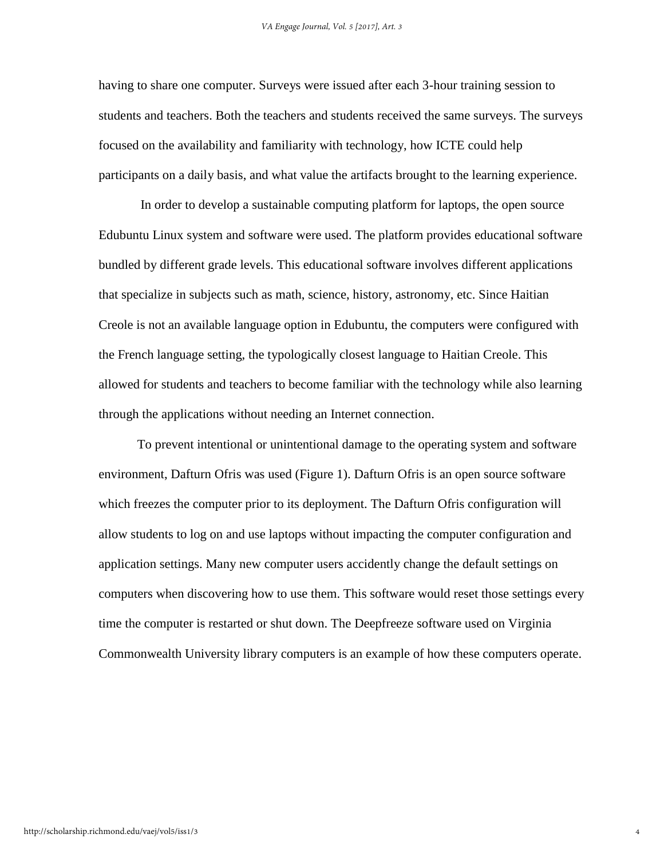having to share one computer. Surveys were issued after each 3-hour training session to students and teachers. Both the teachers and students received the same surveys. The surveys focused on the availability and familiarity with technology, how ICTE could help participants on a daily basis, and what value the artifacts brought to the learning experience.

In order to develop a sustainable computing platform for laptops, the open source Edubuntu Linux system and software were used. The platform provides educational software bundled by different grade levels. This educational software involves different applications that specialize in subjects such as math, science, history, astronomy, etc. Since Haitian Creole is not an available language option in Edubuntu, the computers were configured with the French language setting, the typologically closest language to Haitian Creole. This allowed for students and teachers to become familiar with the technology while also learning through the applications without needing an Internet connection.

To prevent intentional or unintentional damage to the operating system and software environment, Dafturn Ofris was used (Figure 1). Dafturn Ofris is an open source software which freezes the computer prior to its deployment. The Dafturn Ofris configuration will allow students to log on and use laptops without impacting the computer configuration and application settings. Many new computer users accidently change the default settings on computers when discovering how to use them. This software would reset those settings every time the computer is restarted or shut down. The Deepfreeze software used on Virginia Commonwealth University library computers is an example of how these computers operate.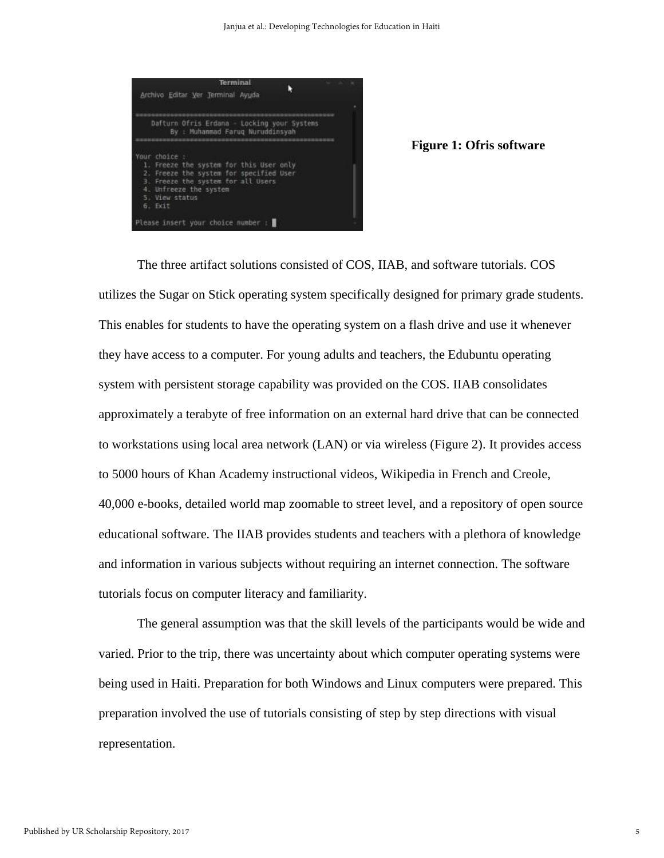

The three artifact solutions consisted of COS, IIAB, and software tutorials. COS utilizes the Sugar on Stick operating system specifically designed for primary grade students. This enables for students to have the operating system on a flash drive and use it whenever they have access to a computer. For young adults and teachers, the Edubuntu operating system with persistent storage capability was provided on the COS. IIAB consolidates approximately a terabyte of free information on an external hard drive that can be connected to workstations using local area network (LAN) or via wireless (Figure 2). It provides access to 5000 hours of Khan Academy instructional videos, Wikipedia in French and Creole, 40,000 e-books, detailed world map zoomable to street level, and a repository of open source educational software. The IIAB provides students and teachers with a plethora of knowledge and information in various subjects without requiring an internet connection. The software tutorials focus on computer literacy and familiarity.

The general assumption was that the skill levels of the participants would be wide and varied. Prior to the trip, there was uncertainty about which computer operating systems were being used in Haiti. Preparation for both Windows and Linux computers were prepared. This preparation involved the use of tutorials consisting of step by step directions with visual representation.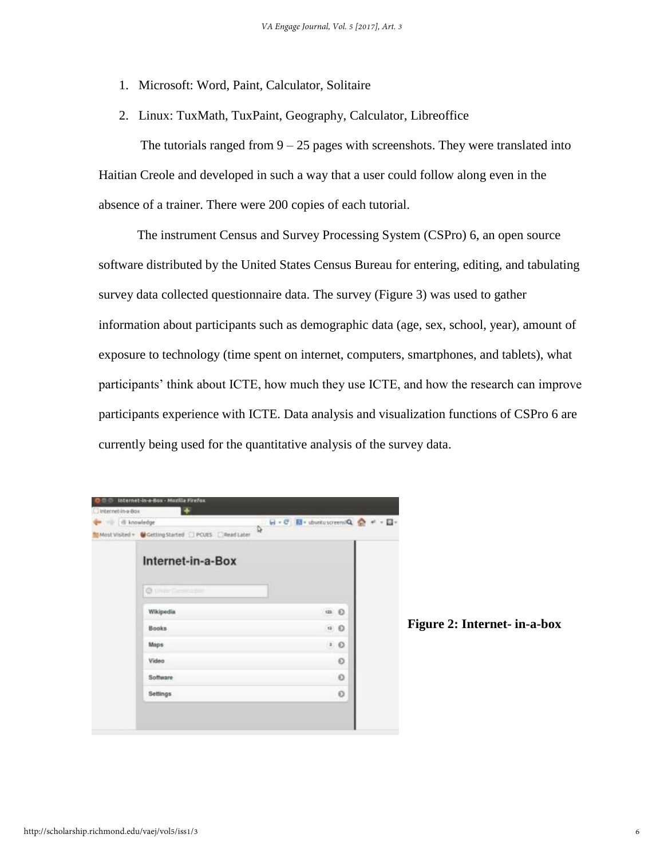- 1. Microsoft: Word, Paint, Calculator, Solitaire
- 2. Linux: TuxMath, TuxPaint, Geography, Calculator, Libreoffice

The tutorials ranged from  $9 - 25$  pages with screenshots. They were translated into Haitian Creole and developed in such a way that a user could follow along even in the absence of a trainer. There were 200 copies of each tutorial.

The instrument Census and Survey Processing System (CSPro) 6, an open source software distributed by the United States Census Bureau for entering, editing, and tabulating survey data collected questionnaire data. The survey (Figure 3) was used to gather information about participants such as demographic data (age, sex, school, year), amount of exposure to technology (time spent on internet, computers, smartphones, and tablets), what participants' think about ICTE, how much they use ICTE, and how the research can improve participants experience with ICTE. Data analysis and visualization functions of CSPro 6 are currently being used for the quantitative analysis of the survey data.

| 市 knowledge<br>$-1$ |                                                                                       | $H = C$ $R +$ abuntu screenul Q | - 0 |
|---------------------|---------------------------------------------------------------------------------------|---------------------------------|-----|
|                     | Most Visited + $\bigcirc$ Getting Started $\Box$ PCUES $\Box$ Read Later $\mathbb{Q}$ |                                 |     |
|                     | Internet-in-a-Box                                                                     |                                 |     |
|                     | @ UniterClassroction                                                                  |                                 |     |
|                     | Wikipedia                                                                             | $\omega$ $\Theta$               |     |
|                     | <b>Books</b>                                                                          | $\mathbf{u}$ $\mathbf{0}$       |     |
|                     | Maps                                                                                  | 10                              |     |
|                     | Video                                                                                 | O                               |     |
|                     | Software                                                                              | O                               |     |
|                     | Settings                                                                              | O                               |     |

**Figure 2: Internet- in-a-box**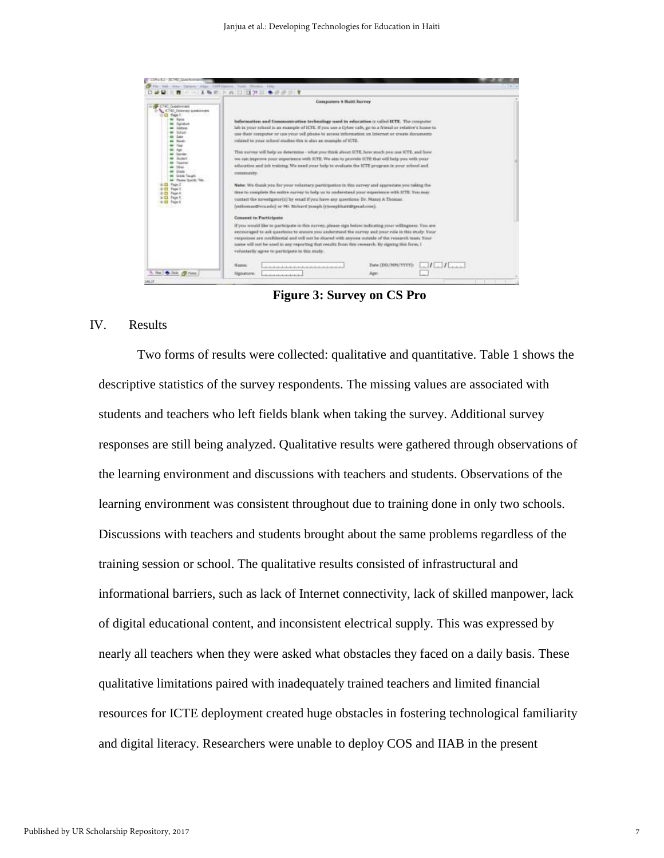

 **Figure 3: Survey on CS Pro** 

#### IV. Results

Two forms of results were collected: qualitative and quantitative. Table 1 shows the descriptive statistics of the survey respondents. The missing values are associated with students and teachers who left fields blank when taking the survey. Additional survey responses are still being analyzed. Qualitative results were gathered through observations of the learning environment and discussions with teachers and students. Observations of the learning environment was consistent throughout due to training done in only two schools. Discussions with teachers and students brought about the same problems regardless of the training session or school. The qualitative results consisted of infrastructural and informational barriers, such as lack of Internet connectivity, lack of skilled manpower, lack of digital educational content, and inconsistent electrical supply. This was expressed by nearly all teachers when they were asked what obstacles they faced on a daily basis. These qualitative limitations paired with inadequately trained teachers and limited financial resources for ICTE deployment created huge obstacles in fostering technological familiarity and digital literacy. Researchers were unable to deploy COS and IIAB in the present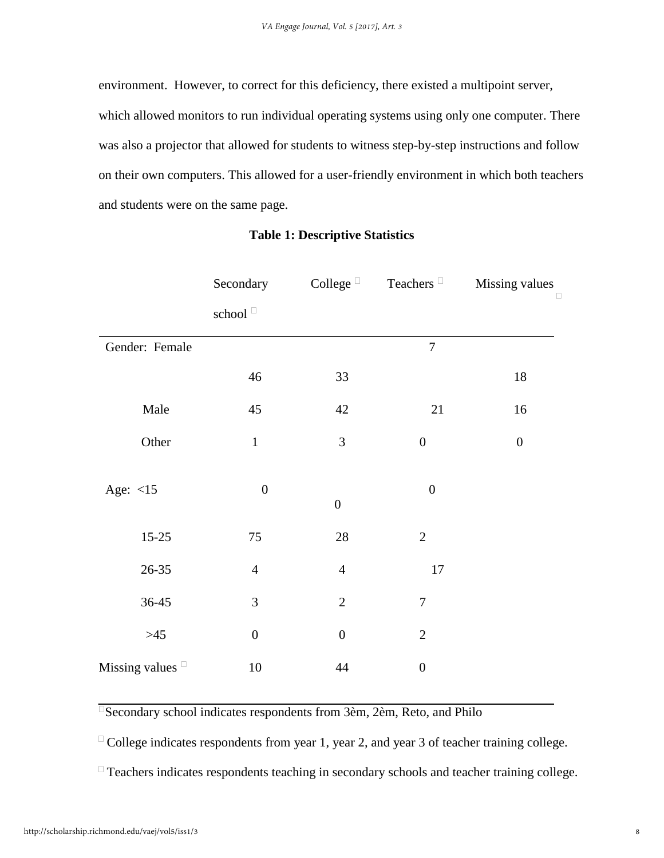environment. However, to correct for this deficiency, there existed a multipoint server, which allowed monitors to run individual operating systems using only one computer. There was also a projector that allowed for students to witness step-by-step instructions and follow on their own computers. This allowed for a user-friendly environment in which both teachers and students were on the same page.

|                       | Secondary         | College <sup>[1]</sup> | Teachers <sup>[1]</sup> | Missing values<br>$\Box$ |
|-----------------------|-------------------|------------------------|-------------------------|--------------------------|
|                       | school $^\square$ |                        |                         |                          |
| Gender: Female        |                   |                        | $\overline{7}$          |                          |
|                       | $46\,$            | 33                     |                         | 18                       |
| Male                  | 45                | 42                     | 21                      | 16                       |
| Other                 | $\mathbf 1$       | 3                      | $\boldsymbol{0}$        | $\boldsymbol{0}$         |
| Age: $<15$            | $\boldsymbol{0}$  | $\boldsymbol{0}$       | $\boldsymbol{0}$        |                          |
| $15 - 25$             | $75\,$            | $28\,$                 | $\overline{2}$          |                          |
| $26 - 35$             | $\overline{4}$    | $\overline{4}$         | 17                      |                          |
| $36 - 45$             | 3                 | $\overline{2}$         | $\tau$                  |                          |
| $>45$                 | $\boldsymbol{0}$  | $\boldsymbol{0}$       | $\overline{2}$          |                          |
| Missing values $\Box$ | $10\,$            | 44                     | $\boldsymbol{0}$        |                          |

### **Table 1: Descriptive Statistics**

 $\Box$ Secondary school indicates respondents from 3èm, 2èm, Reto, and Philo

 $\Box$  College indicates respondents from year 1, year 2, and year 3 of teacher training college.

 $\Box$  Teachers indicates respondents teaching in secondary schools and teacher training college.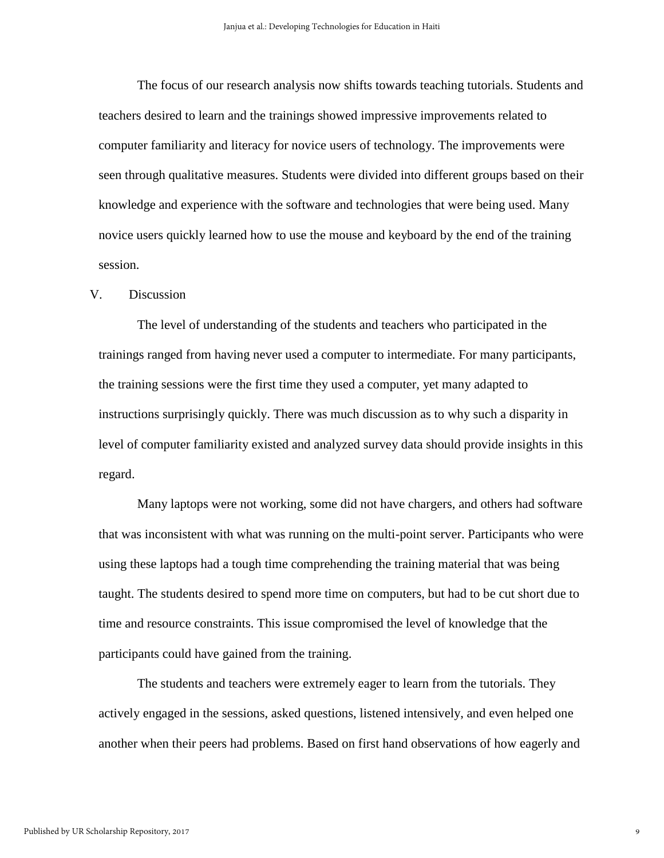The focus of our research analysis now shifts towards teaching tutorials. Students and teachers desired to learn and the trainings showed impressive improvements related to computer familiarity and literacy for novice users of technology. The improvements were seen through qualitative measures. Students were divided into different groups based on their knowledge and experience with the software and technologies that were being used. Many novice users quickly learned how to use the mouse and keyboard by the end of the training session.

#### V. Discussion

The level of understanding of the students and teachers who participated in the trainings ranged from having never used a computer to intermediate. For many participants, the training sessions were the first time they used a computer, yet many adapted to instructions surprisingly quickly. There was much discussion as to why such a disparity in level of computer familiarity existed and analyzed survey data should provide insights in this regard.

Many laptops were not working, some did not have chargers, and others had software that was inconsistent with what was running on the multi-point server. Participants who were using these laptops had a tough time comprehending the training material that was being taught. The students desired to spend more time on computers, but had to be cut short due to time and resource constraints. This issue compromised the level of knowledge that the participants could have gained from the training.

The students and teachers were extremely eager to learn from the tutorials. They actively engaged in the sessions, asked questions, listened intensively, and even helped one another when their peers had problems. Based on first hand observations of how eagerly and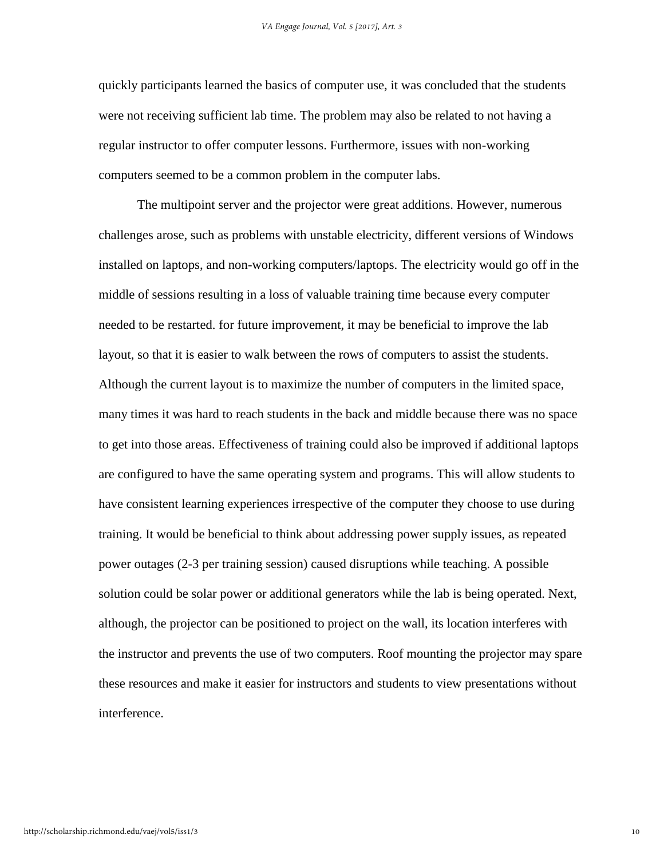quickly participants learned the basics of computer use, it was concluded that the students were not receiving sufficient lab time. The problem may also be related to not having a regular instructor to offer computer lessons. Furthermore, issues with non-working computers seemed to be a common problem in the computer labs.

The multipoint server and the projector were great additions. However, numerous challenges arose, such as problems with unstable electricity, different versions of Windows installed on laptops, and non-working computers/laptops. The electricity would go off in the middle of sessions resulting in a loss of valuable training time because every computer needed to be restarted. for future improvement, it may be beneficial to improve the lab layout, so that it is easier to walk between the rows of computers to assist the students. Although the current layout is to maximize the number of computers in the limited space, many times it was hard to reach students in the back and middle because there was no space to get into those areas. Effectiveness of training could also be improved if additional laptops are configured to have the same operating system and programs. This will allow students to have consistent learning experiences irrespective of the computer they choose to use during training. It would be beneficial to think about addressing power supply issues, as repeated power outages (2-3 per training session) caused disruptions while teaching. A possible solution could be solar power or additional generators while the lab is being operated. Next, although, the projector can be positioned to project on the wall, its location interferes with the instructor and prevents the use of two computers. Roof mounting the projector may spare these resources and make it easier for instructors and students to view presentations without interference.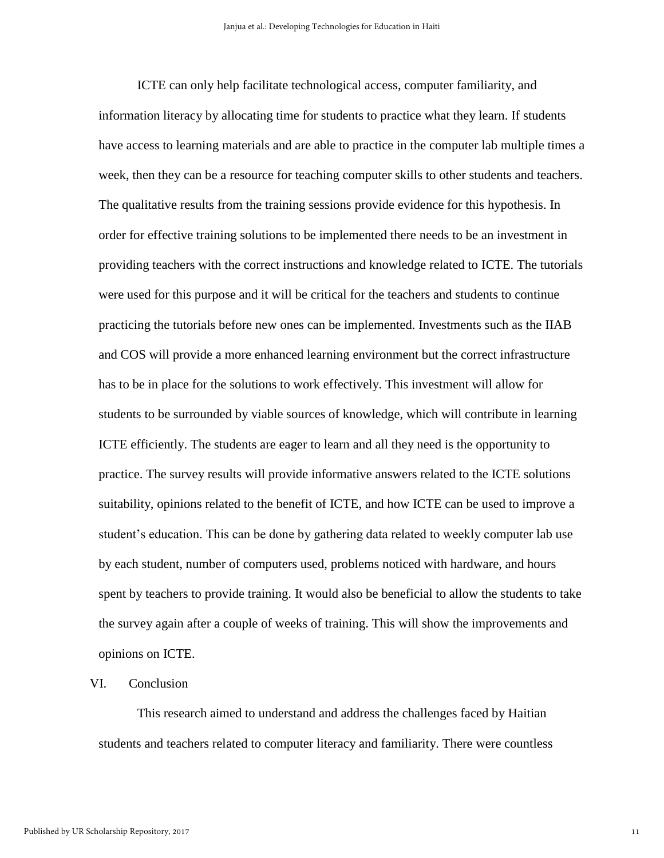ICTE can only help facilitate technological access, computer familiarity, and information literacy by allocating time for students to practice what they learn. If students have access to learning materials and are able to practice in the computer lab multiple times a week, then they can be a resource for teaching computer skills to other students and teachers. The qualitative results from the training sessions provide evidence for this hypothesis. In order for effective training solutions to be implemented there needs to be an investment in providing teachers with the correct instructions and knowledge related to ICTE. The tutorials were used for this purpose and it will be critical for the teachers and students to continue practicing the tutorials before new ones can be implemented. Investments such as the IIAB and COS will provide a more enhanced learning environment but the correct infrastructure has to be in place for the solutions to work effectively. This investment will allow for students to be surrounded by viable sources of knowledge, which will contribute in learning ICTE efficiently. The students are eager to learn and all they need is the opportunity to practice. The survey results will provide informative answers related to the ICTE solutions suitability, opinions related to the benefit of ICTE, and how ICTE can be used to improve a student's education. This can be done by gathering data related to weekly computer lab use by each student, number of computers used, problems noticed with hardware, and hours spent by teachers to provide training. It would also be beneficial to allow the students to take the survey again after a couple of weeks of training. This will show the improvements and opinions on ICTE.

### VI. Conclusion

This research aimed to understand and address the challenges faced by Haitian students and teachers related to computer literacy and familiarity. There were countless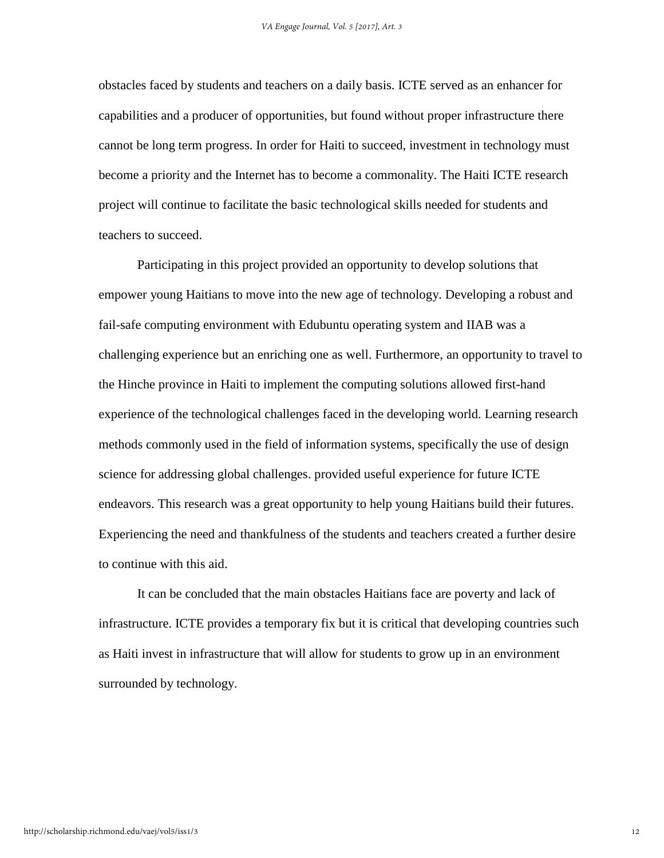obstacles faced by students and teachers on a daily basis. ICTE served as an enhancer for capabilities and a producer of opportunities, but found without proper infrastructure there cannot be long term progress. In order for Haiti to succeed, investment in technology must become a priority and the Internet has to become a commonality. The Haiti ICTE research project will continue to facilitate the basic technological skills needed for students and teachers to succeed.

Participating in this project provided an opportunity to develop solutions that empower young Haitians to move into the new age of technology. Developing a robust and fail-safe computing environment with Edubuntu operating system and IIAB was a challenging experience but an enriching one as well. Furthermore, an opportunity to travel to the Hinche province in Haiti to implement the computing solutions allowed first-hand experience of the technological challenges faced in the developing world. Learning research methods commonly used in the field of information systems, specifically the use of design science for addressing global challenges. provided useful experience for future ICTE endeavors. This research was a great opportunity to help young Haitians build their futures. Experiencing the need and thankfulness of the students and teachers created a further desire to continue with this aid.

It can be concluded that the main obstacles Haitians face are poverty and lack of infrastructure. ICTE provides a temporary fix but it is critical that developing countries such as Haiti invest in infrastructure that will allow for students to grow up in an environment surrounded by technology.